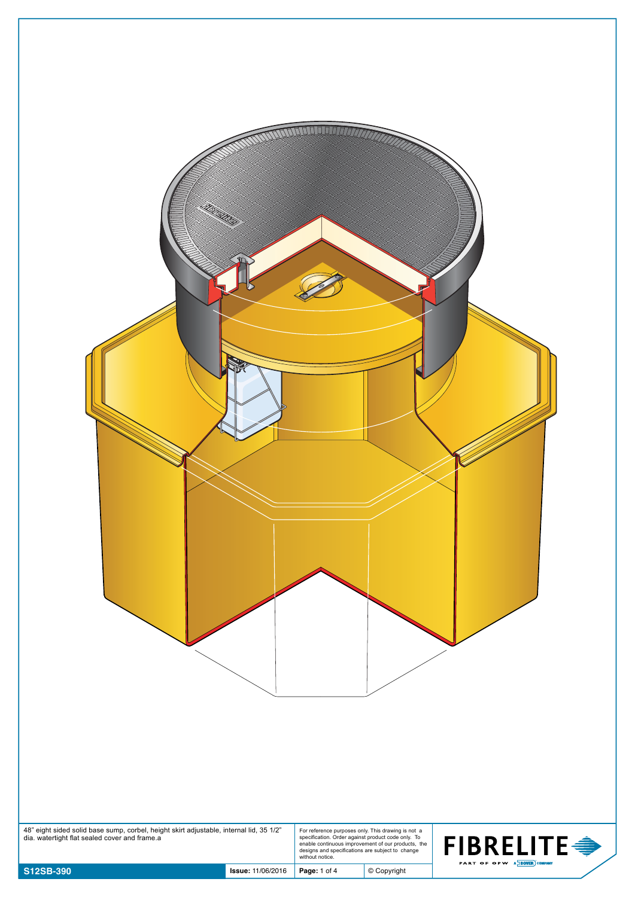| 48" eight sided solid base sump, corbel, height skirt adjustable, internal lid, 35 1/2"<br>dia. watertight flat sealed cover and frame.a |                          | For reference purposes only. This drawing is not a<br>specification. Order against product code only. To<br>enable continuous improvement of our products, the<br>designs and specifications are subject to change<br>without notice. |               | <b>FIBRELITE →</b>          |
|------------------------------------------------------------------------------------------------------------------------------------------|--------------------------|---------------------------------------------------------------------------------------------------------------------------------------------------------------------------------------------------------------------------------------|---------------|-----------------------------|
| S12SB-390                                                                                                                                | <b>Issue: 11/06/2016</b> | Page: 1 of 4                                                                                                                                                                                                                          | $©$ Copyright | PART OF OPW A DOVER COMPANY |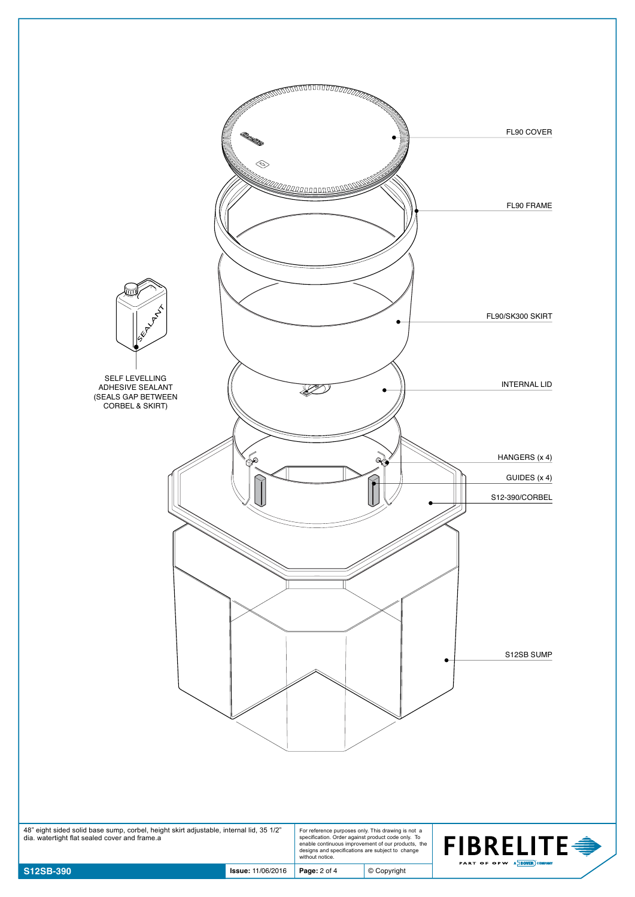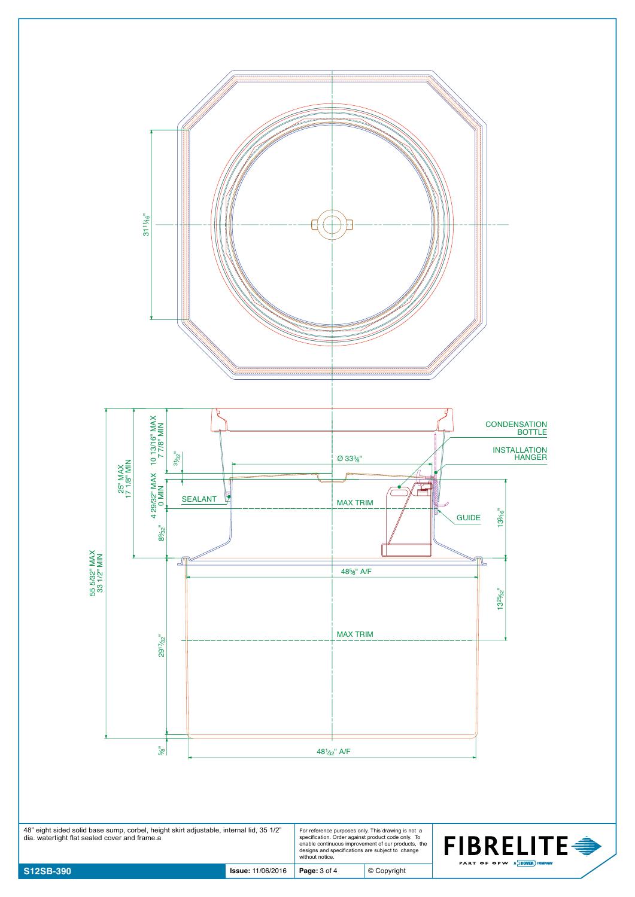